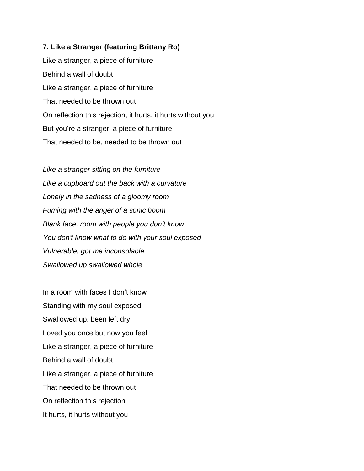## **7. Like a Stranger (featuring Brittany Ro)**

Like a stranger, a piece of furniture Behind a wall of doubt Like a stranger, a piece of furniture That needed to be thrown out On reflection this rejection, it hurts, it hurts without you But you're a stranger, a piece of furniture That needed to be, needed to be thrown out

*Like a stranger sitting on the furniture Like a cupboard out the back with a curvature Lonely in the sadness of a gloomy room Fuming with the anger of a sonic boom Blank face, room with people you don't know You don't know what to do with your soul exposed Vulnerable, got me inconsolable Swallowed up swallowed whole*

In a room with faces I don't know Standing with my soul exposed Swallowed up, been left dry Loved you once but now you feel Like a stranger, a piece of furniture Behind a wall of doubt Like a stranger, a piece of furniture That needed to be thrown out On reflection this rejection It hurts, it hurts without you